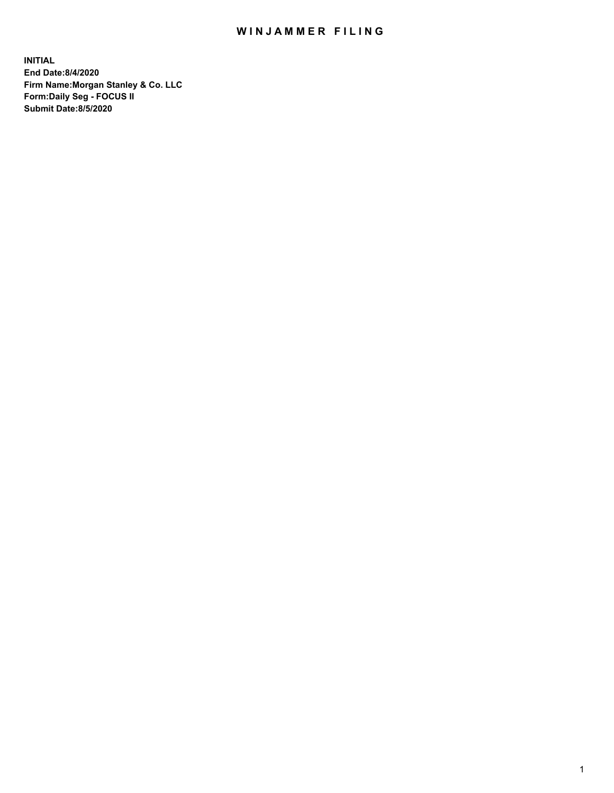## WIN JAMMER FILING

**INITIAL End Date:8/4/2020 Firm Name:Morgan Stanley & Co. LLC Form:Daily Seg - FOCUS II Submit Date:8/5/2020**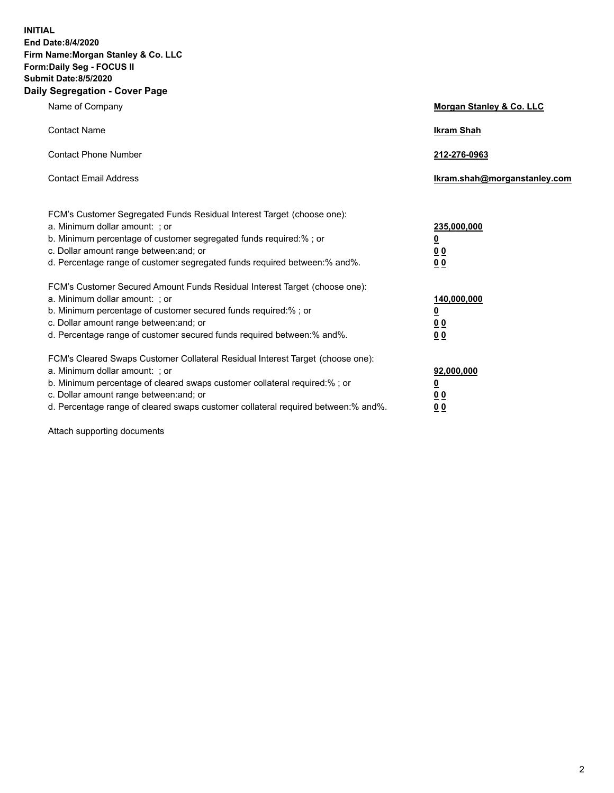**INITIAL End Date:8/4/2020 Firm Name:Morgan Stanley & Co. LLC Form:Daily Seg - FOCUS II Submit Date:8/5/2020 Daily Segregation - Cover Page**

| Name of Company                                                                                                                                                                                                                                                                                                                | Morgan Stanley & Co. LLC                                    |
|--------------------------------------------------------------------------------------------------------------------------------------------------------------------------------------------------------------------------------------------------------------------------------------------------------------------------------|-------------------------------------------------------------|
| <b>Contact Name</b>                                                                                                                                                                                                                                                                                                            | <b>Ikram Shah</b>                                           |
| <b>Contact Phone Number</b>                                                                                                                                                                                                                                                                                                    | 212-276-0963                                                |
| <b>Contact Email Address</b>                                                                                                                                                                                                                                                                                                   | Ikram.shah@morganstanley.com                                |
| FCM's Customer Segregated Funds Residual Interest Target (choose one):<br>a. Minimum dollar amount: ; or<br>b. Minimum percentage of customer segregated funds required:% ; or<br>c. Dollar amount range between: and; or<br>d. Percentage range of customer segregated funds required between: % and %.                       | 235,000,000<br><u>0</u><br>00<br>0 <sub>0</sub>             |
| FCM's Customer Secured Amount Funds Residual Interest Target (choose one):<br>a. Minimum dollar amount: ; or<br>b. Minimum percentage of customer secured funds required:%; or<br>c. Dollar amount range between: and; or<br>d. Percentage range of customer secured funds required between:% and%.                            | 140,000,000<br><u>0</u><br>0 <sub>0</sub><br>0 <sub>0</sub> |
| FCM's Cleared Swaps Customer Collateral Residual Interest Target (choose one):<br>a. Minimum dollar amount: ; or<br>b. Minimum percentage of cleared swaps customer collateral required:% ; or<br>c. Dollar amount range between: and; or<br>d. Percentage range of cleared swaps customer collateral required between:% and%. | 92,000,000<br><u>0</u><br>0 Q<br>0 <sub>0</sub>             |

Attach supporting documents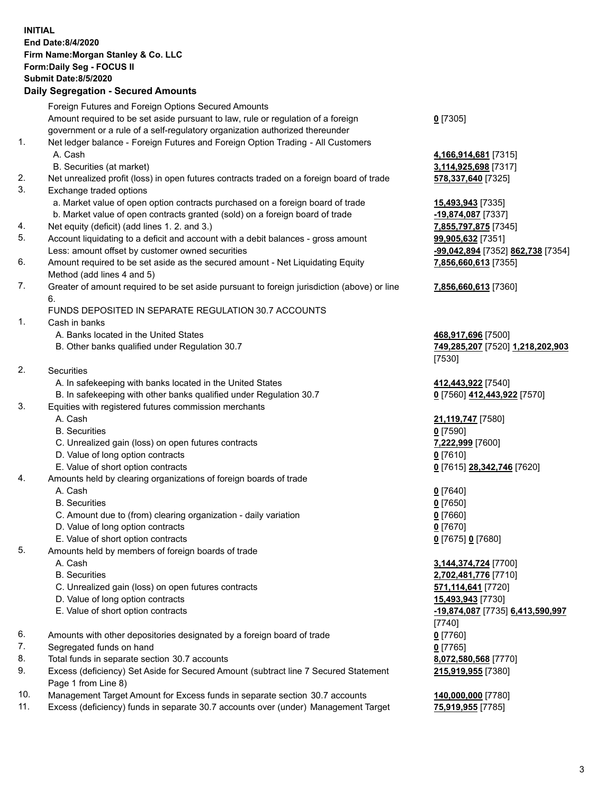|     | <b>INITIAL</b>                                                                              |                                   |
|-----|---------------------------------------------------------------------------------------------|-----------------------------------|
|     | End Date: 8/4/2020                                                                          |                                   |
|     | Firm Name: Morgan Stanley & Co. LLC                                                         |                                   |
|     | Form: Daily Seg - FOCUS II                                                                  |                                   |
|     | <b>Submit Date: 8/5/2020</b>                                                                |                                   |
|     | <b>Daily Segregation - Secured Amounts</b>                                                  |                                   |
|     | Foreign Futures and Foreign Options Secured Amounts                                         |                                   |
|     | Amount required to be set aside pursuant to law, rule or regulation of a foreign            | $0$ [7305]                        |
|     | government or a rule of a self-regulatory organization authorized thereunder                |                                   |
| 1.  | Net ledger balance - Foreign Futures and Foreign Option Trading - All Customers             |                                   |
|     | A. Cash                                                                                     | 4,166,914,681 [7315]              |
|     | B. Securities (at market)                                                                   | 3,114,925,698 [7317]              |
| 2.  | Net unrealized profit (loss) in open futures contracts traded on a foreign board of trade   | 578,337,640 [7325]                |
| 3.  | Exchange traded options                                                                     |                                   |
|     | a. Market value of open option contracts purchased on a foreign board of trade              | 15,493,943 [7335]                 |
|     | b. Market value of open contracts granted (sold) on a foreign board of trade                | -19,874,087 [7337]                |
| 4.  | Net equity (deficit) (add lines 1. 2. and 3.)                                               | 7,855,797,875 [7345]              |
| 5.  | Account liquidating to a deficit and account with a debit balances - gross amount           | 99,905,632 [7351]                 |
|     | Less: amount offset by customer owned securities                                            | -99,042,894 [7352] 862,738 [7354] |
| 6.  | Amount required to be set aside as the secured amount - Net Liquidating Equity              | 7,856,660,613 [7355]              |
|     | Method (add lines 4 and 5)                                                                  |                                   |
| 7.  | Greater of amount required to be set aside pursuant to foreign jurisdiction (above) or line | 7,856,660,613 [7360]              |
|     | 6.                                                                                          |                                   |
|     | FUNDS DEPOSITED IN SEPARATE REGULATION 30.7 ACCOUNTS                                        |                                   |
| 1.  | Cash in banks                                                                               |                                   |
|     | A. Banks located in the United States                                                       | 468,917,696 [7500]                |
|     | B. Other banks qualified under Regulation 30.7                                              | 749,285,207 [7520] 1,218,202,903  |
|     |                                                                                             | [7530]                            |
| 2.  | <b>Securities</b>                                                                           |                                   |
|     | A. In safekeeping with banks located in the United States                                   | 412,443,922 [7540]                |
| 3.  | B. In safekeeping with other banks qualified under Regulation 30.7                          | 0 [7560] 412,443,922 [7570]       |
|     | Equities with registered futures commission merchants<br>A. Cash                            |                                   |
|     | <b>B.</b> Securities                                                                        | 21,119,747 [7580]<br>$0$ [7590]   |
|     | C. Unrealized gain (loss) on open futures contracts                                         | 7,222,999 [7600]                  |
|     | D. Value of long option contracts                                                           | $0$ [7610]                        |
|     | E. Value of short option contracts                                                          | 0 [7615] 28,342,746 [7620]        |
| 4.  | Amounts held by clearing organizations of foreign boards of trade                           |                                   |
|     | A. Cash                                                                                     | $0$ [7640]                        |
|     | <b>B.</b> Securities                                                                        | $0$ [7650]                        |
|     | C. Amount due to (from) clearing organization - daily variation                             | $0$ [7660]                        |
|     | D. Value of long option contracts                                                           | $0$ [7670]                        |
|     | E. Value of short option contracts                                                          | 0 [7675] 0 [7680]                 |
| 5.  | Amounts held by members of foreign boards of trade                                          |                                   |
|     | A. Cash                                                                                     | 3,144,374,724 [7700]              |
|     | <b>B.</b> Securities                                                                        | 2,702,481,776 [7710]              |
|     | C. Unrealized gain (loss) on open futures contracts                                         | 571,114,641 [7720]                |
|     | D. Value of long option contracts                                                           | 15,493,943 [7730]                 |
|     | E. Value of short option contracts                                                          | -19,874,087 [7735] 6,413,590,997  |
|     |                                                                                             | [7740]                            |
| 6.  | Amounts with other depositories designated by a foreign board of trade                      | $0$ [7760]                        |
| 7.  | Segregated funds on hand                                                                    | $0$ [7765]                        |
| 8.  | Total funds in separate section 30.7 accounts                                               | 8,072,580,568 [7770]              |
| 9.  | Excess (deficiency) Set Aside for Secured Amount (subtract line 7 Secured Statement         | 215,919,955 [7380]                |
|     | Page 1 from Line 8)                                                                         |                                   |
| 10. | Management Target Amount for Excess funds in separate section 30.7 accounts                 | 140,000,000 [7780]                |

11. Excess (deficiency) funds in separate 30.7 accounts over (under) Management Target **75,919,955** [7785]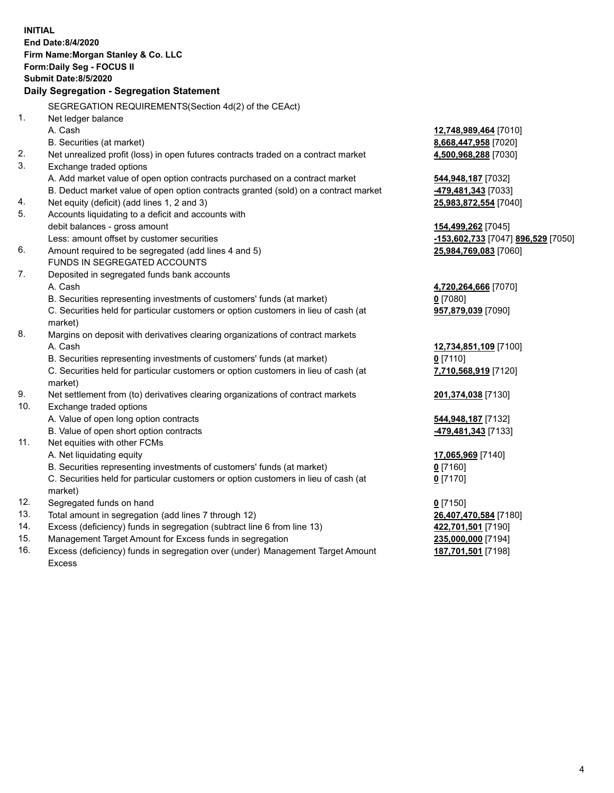|            | <b>INITIAL</b><br>End Date:8/4/2020<br>Firm Name: Morgan Stanley & Co. LLC<br>Form: Daily Seg - FOCUS II<br><b>Submit Date: 8/5/2020</b><br>Daily Segregation - Segregation Statement |                                                        |
|------------|---------------------------------------------------------------------------------------------------------------------------------------------------------------------------------------|--------------------------------------------------------|
|            | SEGREGATION REQUIREMENTS(Section 4d(2) of the CEAct)                                                                                                                                  |                                                        |
| 1.         | Net ledger balance                                                                                                                                                                    |                                                        |
|            | A. Cash                                                                                                                                                                               | 12,748,989,464 [7010]                                  |
|            | B. Securities (at market)                                                                                                                                                             | 8,668,447,958 [7020]                                   |
| 2.         | Net unrealized profit (loss) in open futures contracts traded on a contract market                                                                                                    | 4,500,968,288 [7030]                                   |
| 3.         | Exchange traded options                                                                                                                                                               |                                                        |
|            | A. Add market value of open option contracts purchased on a contract market                                                                                                           | 544,948,187 [7032]                                     |
|            | B. Deduct market value of open option contracts granted (sold) on a contract market                                                                                                   | -479,481,343 [7033]                                    |
| 4.         | Net equity (deficit) (add lines 1, 2 and 3)                                                                                                                                           | 25,983,872,554 [7040]                                  |
| 5.         | Accounts liquidating to a deficit and accounts with                                                                                                                                   |                                                        |
|            | debit balances - gross amount                                                                                                                                                         | 154,499,262 [7045]                                     |
| 6.         | Less: amount offset by customer securities                                                                                                                                            | <u>-153,602,733</u> [7047] <mark>896,529</mark> [7050] |
|            | Amount required to be segregated (add lines 4 and 5)<br>FUNDS IN SEGREGATED ACCOUNTS                                                                                                  | 25,984,769,083 [7060]                                  |
| 7.         | Deposited in segregated funds bank accounts                                                                                                                                           |                                                        |
|            | A. Cash                                                                                                                                                                               | 4,720,264,666 [7070]                                   |
|            | B. Securities representing investments of customers' funds (at market)                                                                                                                | $0$ [7080]                                             |
|            | C. Securities held for particular customers or option customers in lieu of cash (at                                                                                                   | 957,879,039 [7090]                                     |
|            | market)                                                                                                                                                                               |                                                        |
| 8.         | Margins on deposit with derivatives clearing organizations of contract markets                                                                                                        |                                                        |
|            | A. Cash                                                                                                                                                                               | 12,734,851,109 [7100]                                  |
|            | B. Securities representing investments of customers' funds (at market)                                                                                                                | $0$ [7110]                                             |
|            | C. Securities held for particular customers or option customers in lieu of cash (at                                                                                                   | 7,710,568,919 [7120]                                   |
|            | market)                                                                                                                                                                               |                                                        |
| 9.         | Net settlement from (to) derivatives clearing organizations of contract markets                                                                                                       | 201,374,038 [7130]                                     |
| 10.        | Exchange traded options                                                                                                                                                               |                                                        |
|            | A. Value of open long option contracts                                                                                                                                                | 544,948,187 [7132]                                     |
|            | B. Value of open short option contracts                                                                                                                                               | -479,481,343 [7133]                                    |
| 11.        | Net equities with other FCMs                                                                                                                                                          |                                                        |
|            | A. Net liquidating equity                                                                                                                                                             | 17,065,969 [7140]                                      |
|            | B. Securities representing investments of customers' funds (at market)                                                                                                                | $0$ [7160]                                             |
|            | C. Securities held for particular customers or option customers in lieu of cash (at                                                                                                   | $0$ [7170]                                             |
|            | market)                                                                                                                                                                               |                                                        |
| 12.        | Segregated funds on hand                                                                                                                                                              | $0$ [7150]                                             |
| 13.        | Total amount in segregation (add lines 7 through 12)                                                                                                                                  | 26,407,470,584 [7180]                                  |
| 14.        | Excess (deficiency) funds in segregation (subtract line 6 from line 13)                                                                                                               | 422,701,501 [7190]                                     |
| 15.<br>16. | Management Target Amount for Excess funds in segregation                                                                                                                              | 235,000,000 [7194]                                     |
|            | Excess (deficiency) funds in segregation over (under) Management Target Amount<br><b>Excess</b>                                                                                       | 187,701,501 [7198]                                     |
|            |                                                                                                                                                                                       |                                                        |